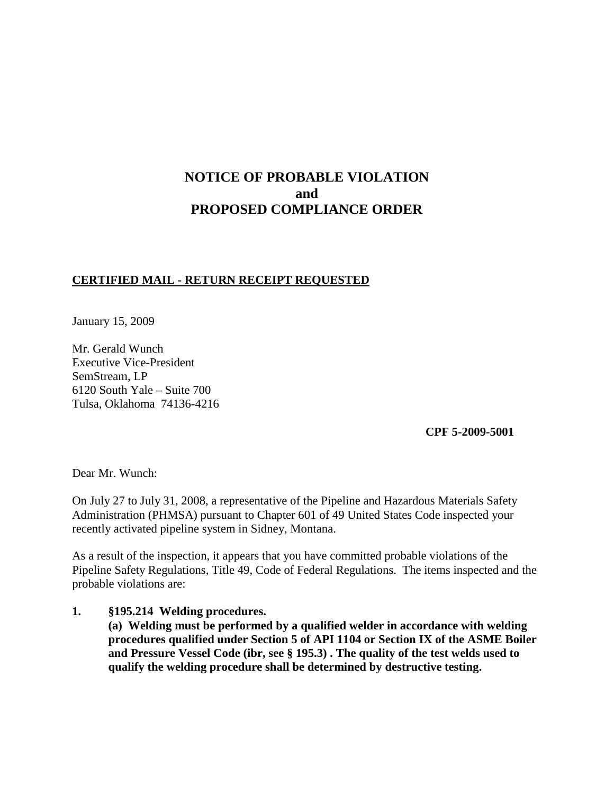## **NOTICE OF PROBABLE VIOLATION and PROPOSED COMPLIANCE ORDER**

## **CERTIFIED MAIL - RETURN RECEIPT REQUESTED**

January 15, 2009

Mr. Gerald Wunch Executive Vice-President SemStream, LP 6120 South Yale – Suite 700 Tulsa, Oklahoma 74136-4216

 **CPF 5-2009-5001**

Dear Mr. Wunch:

On July 27 to July 31, 2008, a representative of the Pipeline and Hazardous Materials Safety Administration (PHMSA) pursuant to Chapter 601 of 49 United States Code inspected your recently activated pipeline system in Sidney, Montana.

As a result of the inspection, it appears that you have committed probable violations of the Pipeline Safety Regulations, Title 49, Code of Federal Regulations. The items inspected and the probable violations are:

**1. §195.214 Welding procedures. (a) Welding must be performed by a qualified welder in accordance with welding procedures qualified under Section 5 of API 1104 or Section IX of the ASME Boiler and Pressure Vessel Code (ibr, see § 195.3) . The quality of the test welds used to qualify the welding procedure shall be determined by destructive testing.**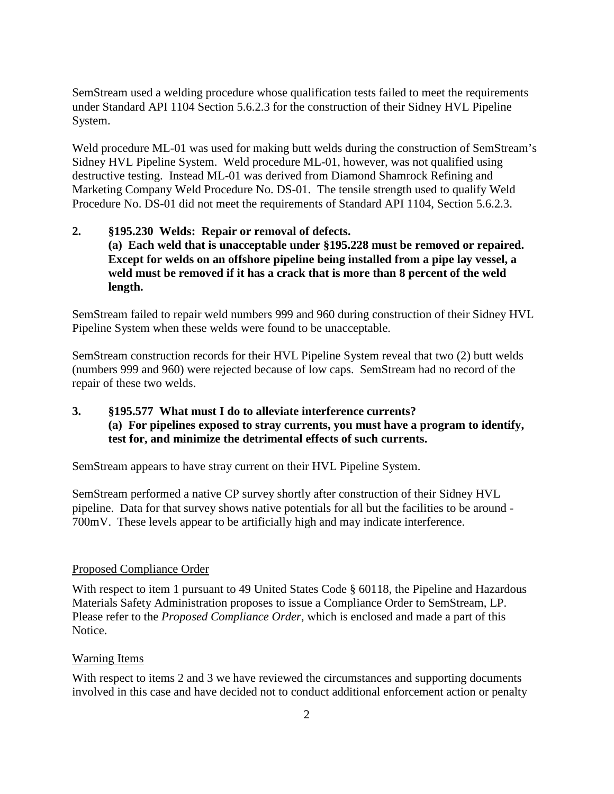SemStream used a welding procedure whose qualification tests failed to meet the requirements under Standard API 1104 Section 5.6.2.3 for the construction of their Sidney HVL Pipeline System.

Weld procedure ML-01 was used for making butt welds during the construction of SemStream's Sidney HVL Pipeline System. Weld procedure ML-01, however, was not qualified using destructive testing. Instead ML-01 was derived from Diamond Shamrock Refining and Marketing Company Weld Procedure No. DS-01. The tensile strength used to qualify Weld Procedure No. DS-01 did not meet the requirements of Standard API 1104, Section 5.6.2.3.

## **2. §195.230 Welds: Repair or removal of defects. (a) Each weld that is unacceptable under §195.228 must be removed or repaired. Except for welds on an offshore pipeline being installed from a pipe lay vessel, a weld must be removed if it has a crack that is more than 8 percent of the weld length.**

SemStream failed to repair weld numbers 999 and 960 during construction of their Sidney HVL Pipeline System when these welds were found to be unacceptable.

SemStream construction records for their HVL Pipeline System reveal that two (2) butt welds (numbers 999 and 960) were rejected because of low caps. SemStream had no record of the repair of these two welds.

## **3. §195.577 What must I do to alleviate interference currents? (a) For pipelines exposed to stray currents, you must have a program to identify, test for, and minimize the detrimental effects of such currents.**

SemStream appears to have stray current on their HVL Pipeline System.

SemStream performed a native CP survey shortly after construction of their Sidney HVL pipeline. Data for that survey shows native potentials for all but the facilities to be around - 700mV. These levels appear to be artificially high and may indicate interference.

#### Proposed Compliance Order

With respect to item 1 pursuant to 49 United States Code § 60118, the Pipeline and Hazardous Materials Safety Administration proposes to issue a Compliance Order to SemStream, LP. Please refer to the *Proposed Compliance Order*, which is enclosed and made a part of this Notice.

#### Warning Items

With respect to items 2 and 3 we have reviewed the circumstances and supporting documents involved in this case and have decided not to conduct additional enforcement action or penalty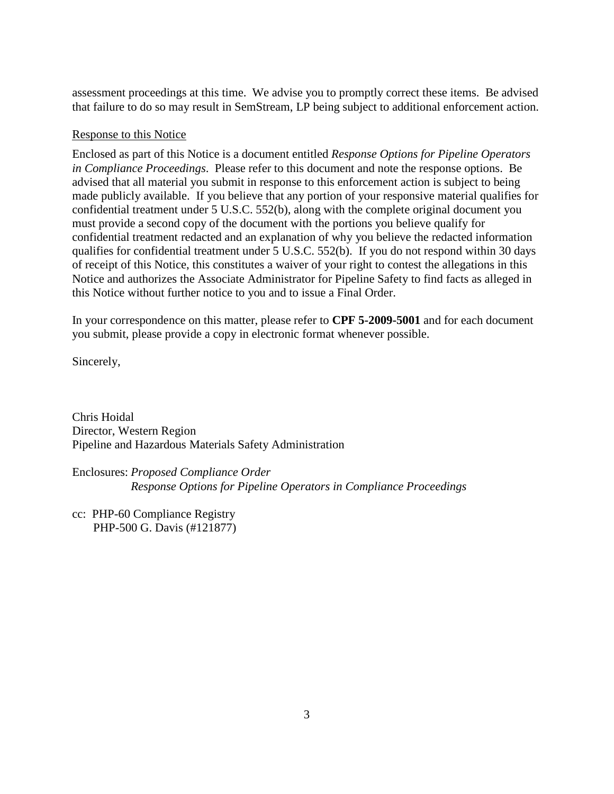assessment proceedings at this time. We advise you to promptly correct these items. Be advised that failure to do so may result in SemStream, LP being subject to additional enforcement action.

#### Response to this Notice

Enclosed as part of this Notice is a document entitled *Response Options for Pipeline Operators in Compliance Proceedings*. Please refer to this document and note the response options. Be advised that all material you submit in response to this enforcement action is subject to being made publicly available. If you believe that any portion of your responsive material qualifies for confidential treatment under 5 U.S.C. 552(b), along with the complete original document you must provide a second copy of the document with the portions you believe qualify for confidential treatment redacted and an explanation of why you believe the redacted information qualifies for confidential treatment under 5 U.S.C. 552(b). If you do not respond within 30 days of receipt of this Notice, this constitutes a waiver of your right to contest the allegations in this Notice and authorizes the Associate Administrator for Pipeline Safety to find facts as alleged in this Notice without further notice to you and to issue a Final Order.

In your correspondence on this matter, please refer to **CPF 5-2009-5001** and for each document you submit, please provide a copy in electronic format whenever possible.

Sincerely,

Chris Hoidal Director, Western Region Pipeline and Hazardous Materials Safety Administration

Enclosures: *Proposed Compliance Order Response Options for Pipeline Operators in Compliance Proceedings*

cc: PHP-60 Compliance Registry PHP-500 G. Davis (#121877)